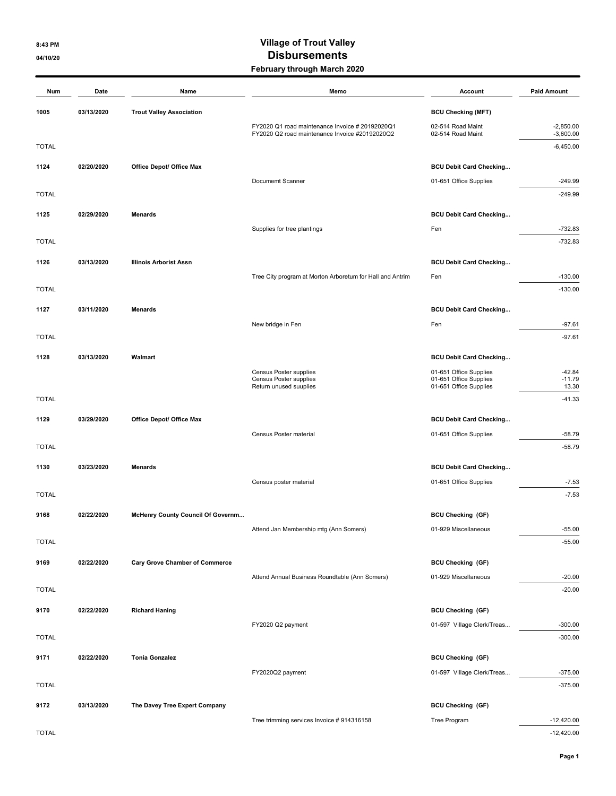## 8:43 PM CONSERVET CONTROL CONTROL CONTROL OF TRUCK VALUE OF TRUCK VALUE OF TRUCK VALUE OF TRUCK OF TRUCK OF TRUCK 04/10/20 Outsources and the contract of the Disbursements February through March 2020

| Num          | Date       | Name                                  | Memo                                                      | Account                                                  | <b>Paid Amount</b> |
|--------------|------------|---------------------------------------|-----------------------------------------------------------|----------------------------------------------------------|--------------------|
| 1005         | 03/13/2020 | <b>Trout Valley Association</b>       |                                                           | <b>BCU Checking (MFT)</b>                                |                    |
|              |            |                                       | FY2020 Q1 road maintenance Invoice # 20192020Q1           | 02-514 Road Maint                                        | $-2,850.00$        |
|              |            |                                       | FY2020 Q2 road maintenance Invoice #20192020Q2            | 02-514 Road Maint                                        | $-3,600.00$        |
| <b>TOTAL</b> |            |                                       |                                                           |                                                          | $-6,450.00$        |
| 1124         | 02/20/2020 | Office Depot/ Office Max              |                                                           | <b>BCU Debit Card Checking</b>                           |                    |
|              |            |                                       | Documemt Scanner                                          | 01-651 Office Supplies                                   | $-249.99$          |
| <b>TOTAL</b> |            |                                       |                                                           |                                                          | $-249.99$          |
| 1125         | 02/29/2020 | <b>Menards</b>                        |                                                           | <b>BCU Debit Card Checking</b>                           |                    |
|              |            |                                       | Supplies for tree plantings                               | Fen                                                      | $-732.83$          |
| <b>TOTAL</b> |            |                                       |                                                           |                                                          | $-732.83$          |
| 1126         | 03/13/2020 | <b>Illinois Arborist Assn</b>         |                                                           | <b>BCU Debit Card Checking</b>                           |                    |
|              |            |                                       | Tree City program at Morton Arboretum for Hall and Antrim | Fen                                                      | $-130.00$          |
| <b>TOTAL</b> |            |                                       |                                                           |                                                          | $-130.00$          |
| 1127         | 03/11/2020 | <b>Menards</b>                        |                                                           | <b>BCU Debit Card Checking</b>                           |                    |
|              |            |                                       | New bridge in Fen                                         | Fen                                                      | $-97.61$           |
| <b>TOTAL</b> |            |                                       |                                                           |                                                          | $-97.61$           |
| 1128         | 03/13/2020 | Walmart                               |                                                           | <b>BCU Debit Card Checking</b>                           |                    |
|              |            |                                       | Census Poster supplies                                    | 01-651 Office Supplies                                   | $-42.84$           |
|              |            |                                       | Census Poster supplies<br>Return unused suuplies          | 01-651 Office Supplies<br>01-651 Office Supplies         | $-11.79$<br>13.30  |
| <b>TOTAL</b> |            |                                       |                                                           |                                                          | $-41.33$           |
|              |            |                                       |                                                           |                                                          |                    |
| 1129         | 03/29/2020 | Office Depot/ Office Max              | Census Poster material                                    | <b>BCU Debit Card Checking</b><br>01-651 Office Supplies | $-58.79$           |
| <b>TOTAL</b> |            |                                       |                                                           |                                                          | $-58.79$           |
|              |            |                                       |                                                           |                                                          |                    |
| 1130         | 03/23/2020 | <b>Menards</b>                        |                                                           | <b>BCU Debit Card Checking</b>                           |                    |
| <b>TOTAL</b> |            |                                       | Census poster material                                    | 01-651 Office Supplies                                   | $-7.53$<br>$-7.53$ |
|              |            |                                       |                                                           |                                                          |                    |
| 9168         | 02/22/2020 | McHenry County Council Of Governm     |                                                           | <b>BCU Checking (GF)</b>                                 |                    |
|              |            |                                       | Attend Jan Membership mtg (Ann Somers)                    | 01-929 Miscellaneous                                     | $-55.00$           |
| <b>TOTAL</b> |            |                                       |                                                           |                                                          | $-55.00$           |
| 9169         | 02/22/2020 | <b>Cary Grove Chamber of Commerce</b> |                                                           | <b>BCU Checking (GF)</b>                                 |                    |
|              |            |                                       | Attend Annual Business Roundtable (Ann Somers)            | 01-929 Miscellaneous                                     | $-20.00$           |
| <b>TOTAL</b> |            |                                       |                                                           |                                                          | $-20.00$           |
| 9170         | 02/22/2020 | <b>Richard Haning</b>                 |                                                           | <b>BCU Checking (GF)</b>                                 |                    |
|              |            |                                       | FY2020 Q2 payment                                         | 01-597 Village Clerk/Treas                               | $-300.00$          |
| <b>TOTAL</b> |            |                                       |                                                           |                                                          | $-300.00$          |
| 9171         | 02/22/2020 | <b>Tonia Gonzalez</b>                 |                                                           | <b>BCU Checking (GF)</b>                                 |                    |
|              |            |                                       | FY2020Q2 payment                                          | 01-597 Village Clerk/Treas                               | $-375.00$          |
| <b>TOTAL</b> |            |                                       |                                                           |                                                          | $-375.00$          |
| 9172         | 03/13/2020 | The Davey Tree Expert Company         |                                                           | <b>BCU Checking (GF)</b>                                 |                    |
|              |            |                                       | Tree trimming services Invoice #914316158                 | Tree Program                                             | $-12,420.00$       |
| <b>TOTAL</b> |            |                                       |                                                           |                                                          | $-12,420.00$       |